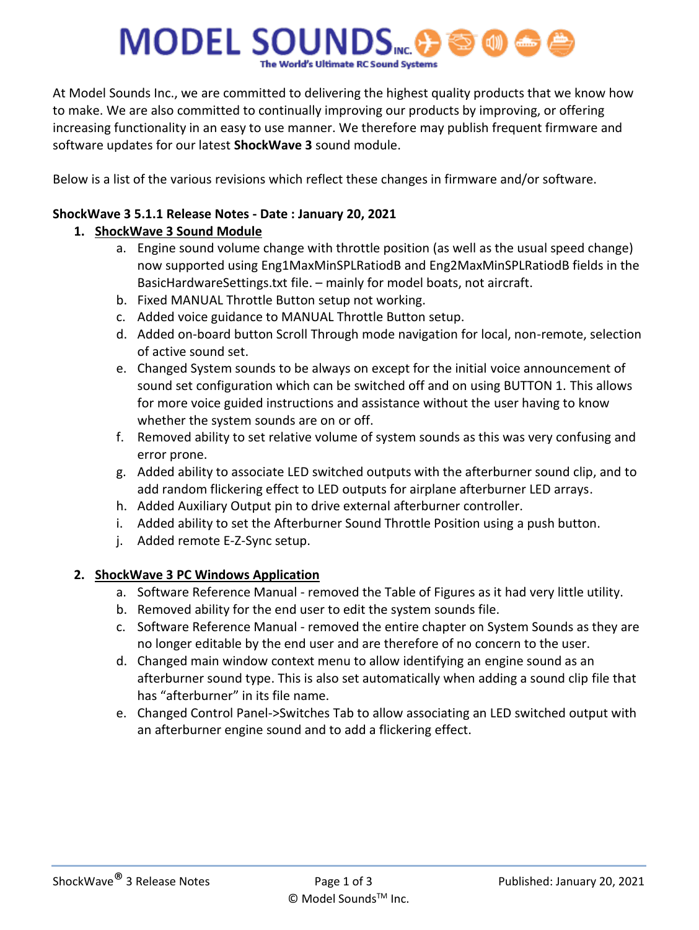# **MODEL SOUNDS**

At Model Sounds Inc., we are committed to delivering the highest quality products that we know how to make. We are also committed to continually improving our products by improving, or offering increasing functionality in an easy to use manner. We therefore may publish frequent firmware and software updates for our latest **ShockWave 3** sound module.

Below is a list of the various revisions which reflect these changes in firmware and/or software.

## **ShockWave 3 5.1.1 Release Notes - Date : January 20, 2021**

### **1. ShockWave 3 Sound Module**

- a. Engine sound volume change with throttle position (as well as the usual speed change) now supported using Eng1MaxMinSPLRatiodB and Eng2MaxMinSPLRatiodB fields in the BasicHardwareSettings.txt file. – mainly for model boats, not aircraft.
- b. Fixed MANUAL Throttle Button setup not working.
- c. Added voice guidance to MANUAL Throttle Button setup.
- d. Added on-board button Scroll Through mode navigation for local, non-remote, selection of active sound set.
- e. Changed System sounds to be always on except for the initial voice announcement of sound set configuration which can be switched off and on using BUTTON 1. This allows for more voice guided instructions and assistance without the user having to know whether the system sounds are on or off.
- f. Removed ability to set relative volume of system sounds as this was very confusing and error prone.
- g. Added ability to associate LED switched outputs with the afterburner sound clip, and to add random flickering effect to LED outputs for airplane afterburner LED arrays.
- h. Added Auxiliary Output pin to drive external afterburner controller.
- i. Added ability to set the Afterburner Sound Throttle Position using a push button.
- j. Added remote E-Z-Sync setup.

#### **2. ShockWave 3 PC Windows Application**

- a. Software Reference Manual removed the Table of Figures as it had very little utility.
- b. Removed ability for the end user to edit the system sounds file.
- c. Software Reference Manual removed the entire chapter on System Sounds as they are no longer editable by the end user and are therefore of no concern to the user.
- d. Changed main window context menu to allow identifying an engine sound as an afterburner sound type. This is also set automatically when adding a sound clip file that has "afterburner" in its file name.
- e. Changed Control Panel->Switches Tab to allow associating an LED switched output with an afterburner engine sound and to add a flickering effect.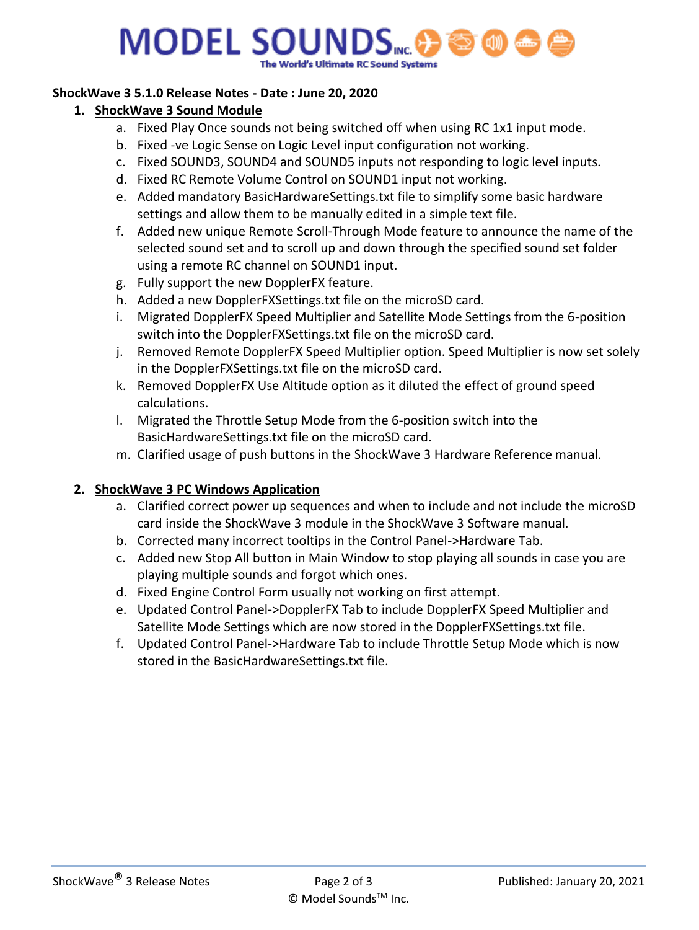## **MODEL SOUNDS**

#### **ShockWave 3 5.1.0 Release Notes - Date : June 20, 2020**

#### **1. ShockWave 3 Sound Module**

- a. Fixed Play Once sounds not being switched off when using RC 1x1 input mode.
- b. Fixed -ve Logic Sense on Logic Level input configuration not working.
- c. Fixed SOUND3, SOUND4 and SOUND5 inputs not responding to logic level inputs.
- d. Fixed RC Remote Volume Control on SOUND1 input not working.
- e. Added mandatory BasicHardwareSettings.txt file to simplify some basic hardware settings and allow them to be manually edited in a simple text file.
- f. Added new unique Remote Scroll-Through Mode feature to announce the name of the selected sound set and to scroll up and down through the specified sound set folder using a remote RC channel on SOUND1 input.
- g. Fully support the new DopplerFX feature.
- h. Added a new DopplerFXSettings.txt file on the microSD card.
- i. Migrated DopplerFX Speed Multiplier and Satellite Mode Settings from the 6-position switch into the DopplerFXSettings.txt file on the microSD card.
- j. Removed Remote DopplerFX Speed Multiplier option. Speed Multiplier is now set solely in the DopplerFXSettings.txt file on the microSD card.
- k. Removed DopplerFX Use Altitude option as it diluted the effect of ground speed calculations.
- l. Migrated the Throttle Setup Mode from the 6-position switch into the BasicHardwareSettings.txt file on the microSD card.
- m. Clarified usage of push buttons in the ShockWave 3 Hardware Reference manual.

#### **2. ShockWave 3 PC Windows Application**

- a. Clarified correct power up sequences and when to include and not include the microSD card inside the ShockWave 3 module in the ShockWave 3 Software manual.
- b. Corrected many incorrect tooltips in the Control Panel->Hardware Tab.
- c. Added new Stop All button in Main Window to stop playing all sounds in case you are playing multiple sounds and forgot which ones.
- d. Fixed Engine Control Form usually not working on first attempt.
- e. Updated Control Panel->DopplerFX Tab to include DopplerFX Speed Multiplier and Satellite Mode Settings which are now stored in the DopplerFXSettings.txt file.
- f. Updated Control Panel->Hardware Tab to include Throttle Setup Mode which is now stored in the BasicHardwareSettings.txt file.